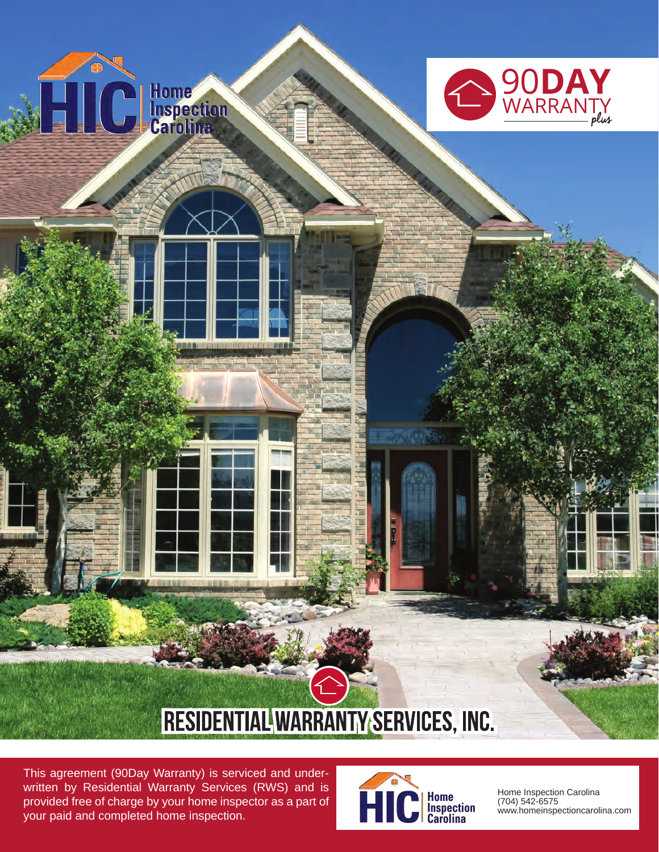

This agreement (90Day Warranty) is serviced and underwritten by Residential Warranty Services (RWS) and is provided free of charge by your home inspector as a part of your paid and completed home inspection.



Home Inspection Carolina (704) 542-6575 www.homeinspectioncarolina.com